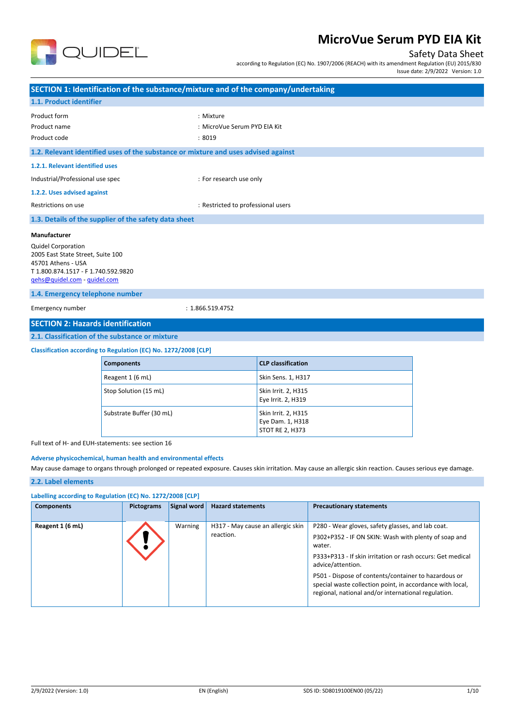

# Safety Data Sheet

according to Regulation (EC) No. 1907/2006 (REACH) with its amendment Regulation (EU) 2015/830

Issue date: 2/9/2022 Version: 1.0

|                                                                                                                                                                                                |                                                                 | SECTION 1: Identification of the substance/mixture and of the company/undertaking                                                                          |  |  |
|------------------------------------------------------------------------------------------------------------------------------------------------------------------------------------------------|-----------------------------------------------------------------|------------------------------------------------------------------------------------------------------------------------------------------------------------|--|--|
| 1.1. Product identifier                                                                                                                                                                        |                                                                 |                                                                                                                                                            |  |  |
| Product form<br>Product name<br>Product code                                                                                                                                                   |                                                                 | : Mixture<br>: MicroVue Serum PYD EIA Kit<br>:8019                                                                                                         |  |  |
|                                                                                                                                                                                                |                                                                 | 1.2. Relevant identified uses of the substance or mixture and uses advised against                                                                         |  |  |
| 1.2.1. Relevant identified uses                                                                                                                                                                |                                                                 |                                                                                                                                                            |  |  |
| Industrial/Professional use spec                                                                                                                                                               |                                                                 | : For research use only                                                                                                                                    |  |  |
| 1.2.2. Uses advised against                                                                                                                                                                    |                                                                 |                                                                                                                                                            |  |  |
| Restrictions on use                                                                                                                                                                            |                                                                 | : Restricted to professional users                                                                                                                         |  |  |
|                                                                                                                                                                                                | 1.3. Details of the supplier of the safety data sheet           |                                                                                                                                                            |  |  |
| <b>Quidel Corporation</b><br>2005 East State Street, Suite 100<br>45701 Athens - USA<br>T 1.800.874.1517 - F 1.740.592.9820<br>gehs@quidel.com - quidel.com<br>1.4. Emergency telephone number |                                                                 |                                                                                                                                                            |  |  |
| Emergency number<br><b>SECTION 2: Hazards identification</b>                                                                                                                                   |                                                                 | : 1.866.519.4752                                                                                                                                           |  |  |
|                                                                                                                                                                                                | 2.1. Classification of the substance or mixture                 |                                                                                                                                                            |  |  |
|                                                                                                                                                                                                | Classification according to Regulation (EC) No. 1272/2008 [CLP] |                                                                                                                                                            |  |  |
|                                                                                                                                                                                                | <b>Components</b>                                               | <b>CLP classification</b>                                                                                                                                  |  |  |
|                                                                                                                                                                                                | Reagent 1 (6 mL)                                                | Skin Sens. 1, H317                                                                                                                                         |  |  |
|                                                                                                                                                                                                | Stop Solution (15 mL)                                           | Skin Irrit. 2, H315<br>Eye Irrit. 2, H319                                                                                                                  |  |  |
| Substrate Buffer (30 mL)<br>Skin Irrit. 2, H315<br>Eye Dam. 1, H318<br><b>STOT RE 2, H373</b>                                                                                                  |                                                                 |                                                                                                                                                            |  |  |
| Full text of H- and EUH-statements: see section 16                                                                                                                                             |                                                                 |                                                                                                                                                            |  |  |
|                                                                                                                                                                                                | Adverse physicochemical, human health and environmental effects | May cause damage to organs through prolonged or repeated exposure. Causes skin irritation. May cause an allergic skin reaction. Causes serious eye damage. |  |  |

#### **2.2. Label elements**

| Labelling according to Regulation (EC) No. 1272/2008 [CLP] |                   |             |                                                |                                                                                                                                                                                                                                                                                                                                                                                    |
|------------------------------------------------------------|-------------------|-------------|------------------------------------------------|------------------------------------------------------------------------------------------------------------------------------------------------------------------------------------------------------------------------------------------------------------------------------------------------------------------------------------------------------------------------------------|
| <b>Components</b>                                          | <b>Pictograms</b> | Signal word | <b>Hazard statements</b>                       | <b>Precautionary statements</b>                                                                                                                                                                                                                                                                                                                                                    |
| Reagent 1 (6 mL)                                           |                   | Warning     | H317 - May cause an allergic skin<br>reaction. | P280 - Wear gloves, safety glasses, and lab coat.<br>P302+P352 - IF ON SKIN: Wash with plenty of soap and<br>water.<br>P333+P313 - If skin irritation or rash occurs: Get medical<br>advice/attention.<br>P501 - Dispose of contents/container to hazardous or<br>special waste collection point, in accordance with local,<br>regional, national and/or international regulation. |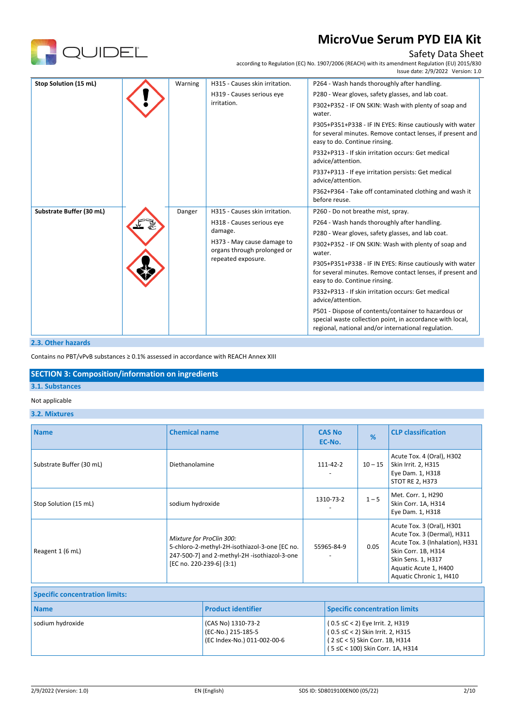

# Safety Data Sheet

according to Regulation (EC) No. 1907/2006 (REACH) with its amendment Regulation (EU) 2015/830

|                          |         |                                                                                                                         | Issue date: 2/9/2022 Version: 1.0                                                                                                                                        |
|--------------------------|---------|-------------------------------------------------------------------------------------------------------------------------|--------------------------------------------------------------------------------------------------------------------------------------------------------------------------|
| Stop Solution (15 mL)    | Warning | H315 - Causes skin irritation.                                                                                          | P264 - Wash hands thoroughly after handling.                                                                                                                             |
|                          |         | H319 - Causes serious eye                                                                                               | P280 - Wear gloves, safety glasses, and lab coat.                                                                                                                        |
|                          |         | irritation.                                                                                                             | P302+P352 - IF ON SKIN: Wash with plenty of soap and<br>water.                                                                                                           |
|                          |         |                                                                                                                         | P305+P351+P338 - IF IN EYES: Rinse cautiously with water<br>for several minutes. Remove contact lenses, if present and<br>easy to do. Continue rinsing.                  |
|                          |         |                                                                                                                         | P332+P313 - If skin irritation occurs: Get medical<br>advice/attention.                                                                                                  |
|                          |         |                                                                                                                         | P337+P313 - If eye irritation persists: Get medical<br>advice/attention.                                                                                                 |
|                          |         |                                                                                                                         | P362+P364 - Take off contaminated clothing and wash it<br>before reuse.                                                                                                  |
| Substrate Buffer (30 mL) | Danger  | H315 - Causes skin irritation.                                                                                          | P260 - Do not breathe mist, spray.                                                                                                                                       |
|                          |         | H318 - Causes serious eye<br>damage.<br>H373 - May cause damage to<br>organs through prolonged or<br>repeated exposure. | P264 - Wash hands thoroughly after handling.                                                                                                                             |
|                          |         |                                                                                                                         | P280 - Wear gloves, safety glasses, and lab coat.                                                                                                                        |
|                          |         |                                                                                                                         | P302+P352 - IF ON SKIN: Wash with plenty of soap and<br>water.                                                                                                           |
|                          |         |                                                                                                                         | P305+P351+P338 - IF IN EYES: Rinse cautiously with water<br>for several minutes. Remove contact lenses, if present and<br>easy to do. Continue rinsing.                  |
|                          |         |                                                                                                                         | P332+P313 - If skin irritation occurs: Get medical<br>advice/attention.                                                                                                  |
|                          |         |                                                                                                                         | P501 - Dispose of contents/container to hazardous or<br>special waste collection point, in accordance with local,<br>regional, national and/or international regulation. |

## **2.3. Other hazards**

Contains no PBT/vPvB substances ≥ 0.1% assessed in accordance with REACH Annex XIII

## **SECTION 3: Composition/information on ingredients**

# **3.1. Substances**

## Not applicable

#### **3.2. Mixtures**

| <b>Name</b>                           | <b>Chemical name</b>                                                                                                                                  |                                                                         |                                                                                                     | <b>CAS No</b><br>EC-No. | %                                    | <b>CLP classification</b>                                                                                                                                                                    |
|---------------------------------------|-------------------------------------------------------------------------------------------------------------------------------------------------------|-------------------------------------------------------------------------|-----------------------------------------------------------------------------------------------------|-------------------------|--------------------------------------|----------------------------------------------------------------------------------------------------------------------------------------------------------------------------------------------|
| Substrate Buffer (30 mL)              | Diethanolamine                                                                                                                                        |                                                                         |                                                                                                     | $111 - 42 - 2$          | $10 - 15$                            | Acute Tox. 4 (Oral), H302<br>Skin Irrit. 2, H315<br>Eye Dam. 1, H318<br><b>STOT RE 2, H373</b>                                                                                               |
| Stop Solution (15 mL)                 | sodium hydroxide                                                                                                                                      |                                                                         |                                                                                                     | 1310-73-2               | $1 - 5$                              | Met. Corr. 1, H290<br>Skin Corr. 1A, H314<br>Eye Dam. 1, H318                                                                                                                                |
| Reagent 1 (6 mL)                      | Mixture for ProClin 300:<br>5-chloro-2-methyl-2H-isothiazol-3-one [EC no.<br>247-500-7] and 2-methyl-2H -isothiazol-3-one<br>[EC no. 220-239-6] (3:1) |                                                                         |                                                                                                     | 55965-84-9              | 0.05                                 | Acute Tox. 3 (Oral), H301<br>Acute Tox. 3 (Dermal), H311<br>Acute Tox. 3 (Inhalation), H331<br>Skin Corr. 1B, H314<br>Skin Sens. 1, H317<br>Aquatic Acute 1, H400<br>Aquatic Chronic 1, H410 |
| <b>Specific concentration limits:</b> |                                                                                                                                                       |                                                                         |                                                                                                     |                         |                                      |                                                                                                                                                                                              |
| <b>Name</b>                           |                                                                                                                                                       | <b>Product identifier</b>                                               |                                                                                                     |                         | <b>Specific concentration limits</b> |                                                                                                                                                                                              |
| sodium hydroxide                      |                                                                                                                                                       | (CAS No) 1310-73-2<br>(EC-No.) 215-185-5<br>(EC Index-No.) 011-002-00-6 | (0.5 ≤C < 2) Eye Irrit. 2, H319<br>0.5 ≤C < 2) Skin Irrit. 2, H315<br>2 ≤C < 5) Skin Corr. 1B, H314 |                         |                                      |                                                                                                                                                                                              |

( 5 ≤C < 100) Skin Corr. 1A, H314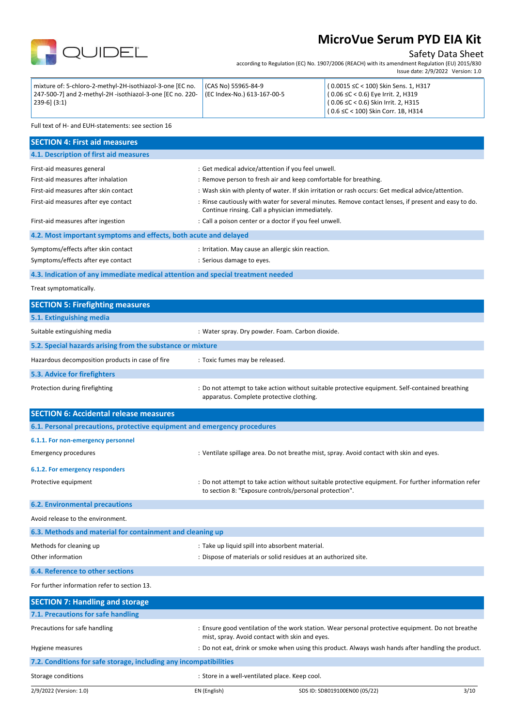

# Safety Data Sheet

according to Regulation (EC) No. 1907/2006 (REACH) with its amendment Regulation (EU) 2015/830 Issue date: 2/9/2022 Version: 1.0

| mixture of: 5-chloro-2-methyl-2H-isothiazol-3-one [EC no.<br>  247-500-7] and 2-methyl-2H -isothiazol-3-one [EC no. 220-   (EC Index-No.) 613-167-00-5<br>$ 239-6 $ $(3:1)$ | $ICAS$ No) 55965-84-9 | $(0.0015 \leq C < 100)$ Skin Sens. 1, H317<br>$(0.06 \leq C < 0.6)$ Eye Irrit. 2, H319<br>$(0.06 \leq C < 0.6)$ Skin Irrit. 2, H315 |
|-----------------------------------------------------------------------------------------------------------------------------------------------------------------------------|-----------------------|-------------------------------------------------------------------------------------------------------------------------------------|
|                                                                                                                                                                             |                       | $(0.6 \leq C < 100)$ Skin Corr. 1B, H314                                                                                            |

Full text of H- and EUH-statements: see section 16

| <b>SECTION 4: First aid measures</b>                                            |                                                                                                                                                         |
|---------------------------------------------------------------------------------|---------------------------------------------------------------------------------------------------------------------------------------------------------|
| 4.1. Description of first aid measures                                          |                                                                                                                                                         |
| First-aid measures general                                                      | : Get medical advice/attention if you feel unwell.                                                                                                      |
| First-aid measures after inhalation                                             | : Remove person to fresh air and keep comfortable for breathing.                                                                                        |
| First-aid measures after skin contact                                           | : Wash skin with plenty of water. If skin irritation or rash occurs: Get medical advice/attention.                                                      |
| First-aid measures after eye contact                                            | : Rinse cautiously with water for several minutes. Remove contact lenses, if present and easy to do.<br>Continue rinsing. Call a physician immediately. |
| First-aid measures after ingestion                                              | : Call a poison center or a doctor if you feel unwell.                                                                                                  |
| 4.2. Most important symptoms and effects, both acute and delayed                |                                                                                                                                                         |
| Symptoms/effects after skin contact                                             | : Irritation. May cause an allergic skin reaction.                                                                                                      |
| Symptoms/effects after eye contact                                              | : Serious damage to eyes.                                                                                                                               |
| 4.3. Indication of any immediate medical attention and special treatment needed |                                                                                                                                                         |
| Treat symptomatically.                                                          |                                                                                                                                                         |

| <b>SECTION 5: Firefighting measures</b>                    |                                                                                                                                             |  |  |  |
|------------------------------------------------------------|---------------------------------------------------------------------------------------------------------------------------------------------|--|--|--|
| 5.1. Extinguishing media                                   |                                                                                                                                             |  |  |  |
| Suitable extinguishing media                               | : Water spray. Dry powder. Foam. Carbon dioxide.                                                                                            |  |  |  |
| 5.2. Special hazards arising from the substance or mixture |                                                                                                                                             |  |  |  |
| Hazardous decomposition products in case of fire           | : Toxic fumes may be released.                                                                                                              |  |  |  |
| 5.3. Advice for firefighters                               |                                                                                                                                             |  |  |  |
| Protection during firefighting                             | : Do not attempt to take action without suitable protective equipment. Self-contained breathing<br>apparatus. Complete protective clothing. |  |  |  |

| <b>SECTION 6: Accidental release measures</b>                            |                                                                                                                                                                |
|--------------------------------------------------------------------------|----------------------------------------------------------------------------------------------------------------------------------------------------------------|
|                                                                          |                                                                                                                                                                |
| 6.1. Personal precautions, protective equipment and emergency procedures |                                                                                                                                                                |
| 6.1.1. For non-emergency personnel                                       |                                                                                                                                                                |
| <b>Emergency procedures</b>                                              | : Ventilate spillage area. Do not breathe mist, spray. Avoid contact with skin and eyes.                                                                       |
| 6.1.2. For emergency responders                                          |                                                                                                                                                                |
| Protective equipment                                                     | : Do not attempt to take action without suitable protective equipment. For further information refer<br>to section 8: "Exposure controls/personal protection". |
| <b>6.2. Environmental precautions</b>                                    |                                                                                                                                                                |
| Avoid release to the environment.                                        |                                                                                                                                                                |
| 6.3. Methods and material for containment and cleaning up                |                                                                                                                                                                |
| Methods for cleaning up                                                  | : Take up liquid spill into absorbent material.                                                                                                                |
| Other information                                                        | : Dispose of materials or solid residues at an authorized site.                                                                                                |

**6.4. Reference to other sections**

For further information refer to section 13.

| <b>SECTION 7: Handling and storage</b>                            |                                                |                                                                                                     |      |
|-------------------------------------------------------------------|------------------------------------------------|-----------------------------------------------------------------------------------------------------|------|
| 7.1. Precautions for safe handling                                |                                                |                                                                                                     |      |
| Precautions for safe handling                                     | mist, spray. Avoid contact with skin and eyes. | : Ensure good ventilation of the work station. Wear personal protective equipment. Do not breathe   |      |
| Hygiene measures                                                  |                                                | : Do not eat, drink or smoke when using this product. Always wash hands after handling the product. |      |
| 7.2. Conditions for safe storage, including any incompatibilities |                                                |                                                                                                     |      |
| Storage conditions                                                | : Store in a well-ventilated place. Keep cool. |                                                                                                     |      |
| 2/9/2022 (Version: 1.0)                                           | EN (English)                                   | SDS ID: SD8019100EN00 (05/22)                                                                       | 3/10 |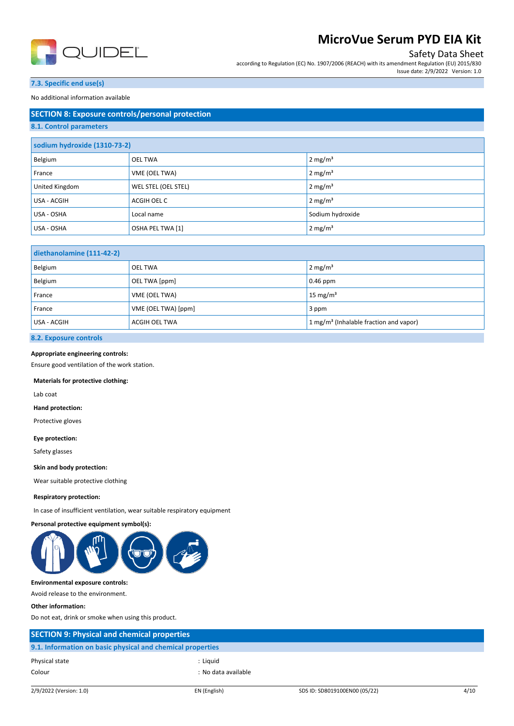

## Safety Data Sheet

according to Regulation (EC) No. 1907/2006 (REACH) with its amendment Regulation (EU) 2015/830 Issue date: 2/9/2022 Version: 1.0

## **7.3. Specific end use(s)**

No additional information available

| <b>SECTION 8: Exposure controls/personal protection</b> |                     |                     |  |  |
|---------------------------------------------------------|---------------------|---------------------|--|--|
| 8.1. Control parameters                                 |                     |                     |  |  |
| sodium hydroxide (1310-73-2)                            |                     |                     |  |  |
| Belgium                                                 | <b>OEL TWA</b>      | 2 mg/ $m3$          |  |  |
| France                                                  | VME (OEL TWA)       | 2 mg/m <sup>3</sup> |  |  |
| United Kingdom                                          | WEL STEL (OEL STEL) | 2 mg/m <sup>3</sup> |  |  |
| USA - ACGIH                                             | ACGIH OEL C         | 2 mg/m <sup>3</sup> |  |  |
| USA - OSHA                                              | Local name          | Sodium hydroxide    |  |  |
| USA - OSHA                                              | OSHA PEL TWA [1]    | 2 mg/ $m3$          |  |  |

| diethanolamine (111-42-2) |                      |                                                    |  |
|---------------------------|----------------------|----------------------------------------------------|--|
| Belgium                   | <b>OEL TWA</b>       | $2 \text{ mg/m}^3$                                 |  |
| Belgium                   | OEL TWA [ppm]        | $0.46$ ppm                                         |  |
| France                    | VME (OEL TWA)        | 15 mg/ $m3$                                        |  |
| France                    | VME (OEL TWA) [ppm]  | 3 ppm                                              |  |
| USA - ACGIH               | <b>ACGIH OEL TWA</b> | 1 mg/m <sup>3</sup> (Inhalable fraction and vapor) |  |

## **8.2. Exposure controls**

## **Appropriate engineering controls:**

Ensure good ventilation of the work station.

#### **Materials for protective clothing:**

Lab coat

**Hand protection:**

Protective gloves

**Eye protection:**

Safety glasses

**Skin and body protection:**

Wear suitable protective clothing

#### **Respiratory protection:**

In case of insufficient ventilation, wear suitable respiratory equipment

#### **Personal protective equipment symbol(s):**



#### **Environmental exposure controls:**

Avoid release to the environment.

#### **Other information:**

Do not eat, drink or smoke when using this product.

| <b>SECTION 9: Physical and chemical properties</b>         |                     |
|------------------------------------------------------------|---------------------|
| 9.1. Information on basic physical and chemical properties |                     |
| Physical state                                             | : Liauid            |
| Colour                                                     | : No data available |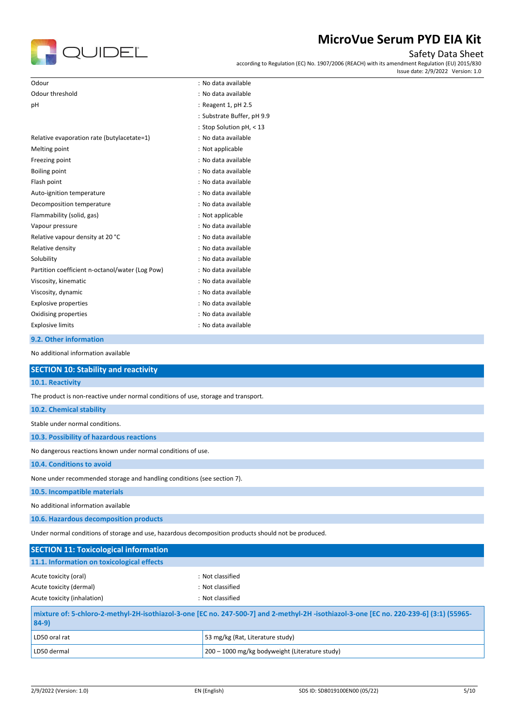

# Safety Data Sheet

according to Regulation (EC) No. 1907/2006 (REACH) with its amendment Regulation (EU) 2015/830 Issue date: 2/9/2022 Version: 1.0

| Odour                                                                                                                                              | : No data available                     |  |  |
|----------------------------------------------------------------------------------------------------------------------------------------------------|-----------------------------------------|--|--|
| Odour threshold                                                                                                                                    | : No data available                     |  |  |
| pH                                                                                                                                                 | : Reagent 1, pH 2.5                     |  |  |
|                                                                                                                                                    | : Substrate Buffer, pH 9.9              |  |  |
|                                                                                                                                                    | : Stop Solution pH, < 13                |  |  |
| Relative evaporation rate (butylacetate=1)                                                                                                         | : No data available                     |  |  |
| Melting point                                                                                                                                      | : Not applicable<br>: No data available |  |  |
| Freezing point<br><b>Boiling point</b>                                                                                                             | : No data available                     |  |  |
| Flash point                                                                                                                                        | : No data available                     |  |  |
| Auto-ignition temperature                                                                                                                          | : No data available                     |  |  |
| Decomposition temperature                                                                                                                          | : No data available                     |  |  |
| Flammability (solid, gas)                                                                                                                          | : Not applicable                        |  |  |
| Vapour pressure                                                                                                                                    | : No data available                     |  |  |
| Relative vapour density at 20 °C                                                                                                                   | : No data available                     |  |  |
| Relative density                                                                                                                                   | : No data available                     |  |  |
| Solubility                                                                                                                                         | : No data available                     |  |  |
| Partition coefficient n-octanol/water (Log Pow)                                                                                                    | : No data available                     |  |  |
| Viscosity, kinematic                                                                                                                               | : No data available                     |  |  |
| Viscosity, dynamic                                                                                                                                 | : No data available                     |  |  |
| <b>Explosive properties</b>                                                                                                                        | : No data available                     |  |  |
| Oxidising properties                                                                                                                               | : No data available                     |  |  |
| <b>Explosive limits</b>                                                                                                                            | : No data available                     |  |  |
| 9.2. Other information                                                                                                                             |                                         |  |  |
| No additional information available                                                                                                                |                                         |  |  |
| <b>SECTION 10: Stability and reactivity</b>                                                                                                        |                                         |  |  |
| 10.1. Reactivity                                                                                                                                   |                                         |  |  |
| The product is non-reactive under normal conditions of use, storage and transport.                                                                 |                                         |  |  |
| 10.2. Chemical stability                                                                                                                           |                                         |  |  |
| Stable under normal conditions.                                                                                                                    |                                         |  |  |
| 10.3. Possibility of hazardous reactions                                                                                                           |                                         |  |  |
| No dangerous reactions known under normal conditions of use.                                                                                       |                                         |  |  |
| 10.4. Conditions to avoid                                                                                                                          |                                         |  |  |
| None under recommended storage and handling conditions (see section 7).                                                                            |                                         |  |  |
| 10.5. Incompatible materials                                                                                                                       |                                         |  |  |
| No additional information available                                                                                                                |                                         |  |  |
| 10.6. Hazardous decomposition products                                                                                                             |                                         |  |  |
| Under normal conditions of storage and use, hazardous decomposition products should not be produced.                                               |                                         |  |  |
| <b>SECTION 11: Toxicological information</b>                                                                                                       |                                         |  |  |
| 11.1. Information on toxicological effects                                                                                                         |                                         |  |  |
| Acute toxicity (oral)                                                                                                                              | : Not classified                        |  |  |
| Acute toxicity (dermal)                                                                                                                            | : Not classified                        |  |  |
| Acute toxicity (inhalation)                                                                                                                        | : Not classified                        |  |  |
| mixture of: 5-chloro-2-methyl-2H-isothiazol-3-one [EC no. 247-500-7] and 2-methyl-2H -isothiazol-3-one [EC no. 220-239-6] (3:1) (55965-<br>$84-9)$ |                                         |  |  |

| । 84-91       |                                                        |
|---------------|--------------------------------------------------------|
| LD50 oral rat | 53 mg/kg (Rat, Literature study)                       |
| LD50 dermal   | $\vert$ 200 – 1000 mg/kg bodyweight (Literature study) |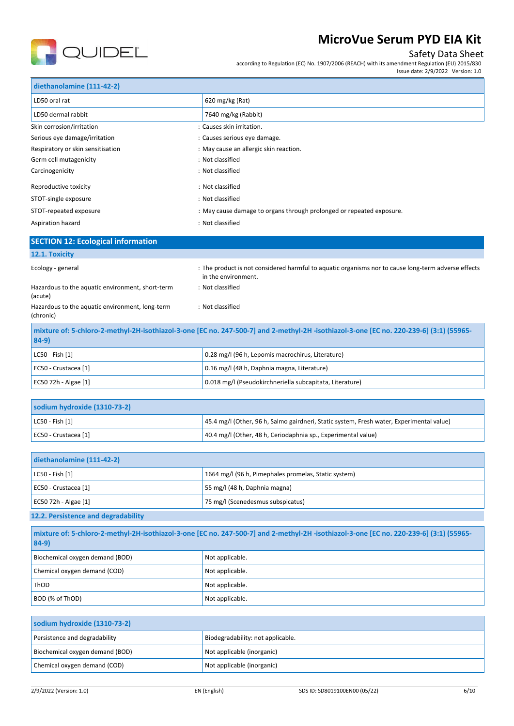

# Safety Data Sheet

according to Regulation (EC) No. 1907/2006 (REACH) with its amendment Regulation (EU) 2015/830

|                                                                                                                                                    | Issue date: 2/9/2022 Version: 1.0                                                                                                       |  |  |
|----------------------------------------------------------------------------------------------------------------------------------------------------|-----------------------------------------------------------------------------------------------------------------------------------------|--|--|
| diethanolamine (111-42-2)                                                                                                                          |                                                                                                                                         |  |  |
| LD50 oral rat                                                                                                                                      | 620 mg/kg (Rat)                                                                                                                         |  |  |
| LD50 dermal rabbit                                                                                                                                 | 7640 mg/kg (Rabbit)                                                                                                                     |  |  |
| Skin corrosion/irritation                                                                                                                          | : Causes skin irritation.                                                                                                               |  |  |
| Serious eye damage/irritation                                                                                                                      | : Causes serious eye damage.                                                                                                            |  |  |
| Respiratory or skin sensitisation                                                                                                                  | : May cause an allergic skin reaction.                                                                                                  |  |  |
| Germ cell mutagenicity                                                                                                                             | : Not classified                                                                                                                        |  |  |
| Carcinogenicity                                                                                                                                    | : Not classified                                                                                                                        |  |  |
| Reproductive toxicity                                                                                                                              | : Not classified                                                                                                                        |  |  |
| STOT-single exposure                                                                                                                               | : Not classified                                                                                                                        |  |  |
| STOT-repeated exposure                                                                                                                             | : May cause damage to organs through prolonged or repeated exposure.                                                                    |  |  |
| Aspiration hazard                                                                                                                                  | : Not classified                                                                                                                        |  |  |
| <b>SECTION 12: Ecological information</b>                                                                                                          |                                                                                                                                         |  |  |
| 12.1. Toxicity                                                                                                                                     |                                                                                                                                         |  |  |
| Ecology - general                                                                                                                                  | : The product is not considered harmful to aquatic organisms nor to cause long-term adverse effects<br>in the environment.              |  |  |
| Hazardous to the aquatic environment, short-term<br>(acute)                                                                                        | : Not classified                                                                                                                        |  |  |
| Hazardous to the aquatic environment, long-term<br>(chronic)                                                                                       | : Not classified                                                                                                                        |  |  |
| mixture of: 5-chloro-2-methyl-2H-isothiazol-3-one [EC no. 247-500-7] and 2-methyl-2H -isothiazol-3-one [EC no. 220-239-6] (3:1) (55965-<br>$84-9)$ |                                                                                                                                         |  |  |
| LC50 - Fish [1]                                                                                                                                    | 0.28 mg/l (96 h, Lepomis macrochirus, Literature)                                                                                       |  |  |
| EC50 - Crustacea [1]                                                                                                                               | 0.16 mg/l (48 h, Daphnia magna, Literature)                                                                                             |  |  |
| EC50 72h - Algae [1]                                                                                                                               | 0.018 mg/l (Pseudokirchneriella subcapitata, Literature)                                                                                |  |  |
|                                                                                                                                                    |                                                                                                                                         |  |  |
| sodium hydroxide (1310-73-2)                                                                                                                       |                                                                                                                                         |  |  |
| LC50 - Fish [1]                                                                                                                                    | 45.4 mg/l (Other, 96 h, Salmo gairdneri, Static system, Fresh water, Experimental value)                                                |  |  |
| EC50 - Crustacea [1]                                                                                                                               | 40.4 mg/l (Other, 48 h, Ceriodaphnia sp., Experimental value)                                                                           |  |  |
|                                                                                                                                                    |                                                                                                                                         |  |  |
| diethanolamine (111-42-2)                                                                                                                          |                                                                                                                                         |  |  |
| LC50 - Fish [1]                                                                                                                                    | 1664 mg/l (96 h, Pimephales promelas, Static system)                                                                                    |  |  |
| EC50 - Crustacea [1]                                                                                                                               | 55 mg/l (48 h, Daphnia magna)                                                                                                           |  |  |
| EC50 72h - Algae [1]                                                                                                                               | 75 mg/l (Scenedesmus subspicatus)                                                                                                       |  |  |
| 12.2. Persistence and degradability                                                                                                                |                                                                                                                                         |  |  |
| $84-9)$                                                                                                                                            | mixture of: 5-chloro-2-methyl-2H-isothiazol-3-one [EC no. 247-500-7] and 2-methyl-2H -isothiazol-3-one [EC no. 220-239-6] (3:1) (55965- |  |  |
| Diochamical owners domand (DOD)                                                                                                                    | Not applicable                                                                                                                          |  |  |

| Biochemical oxygen demand (BOD) | Not applicable. |
|---------------------------------|-----------------|
| Chemical oxygen demand (COD)    | Not applicable. |
| ThOD                            | Not applicable. |
| BOD (% of ThOD)                 | Not applicable. |

| sodium hydroxide (1310-73-2)    |                                   |
|---------------------------------|-----------------------------------|
| Persistence and degradability   | Biodegradability: not applicable. |
| Biochemical oxygen demand (BOD) | Not applicable (inorganic)        |
| Chemical oxygen demand (COD)    | Not applicable (inorganic)        |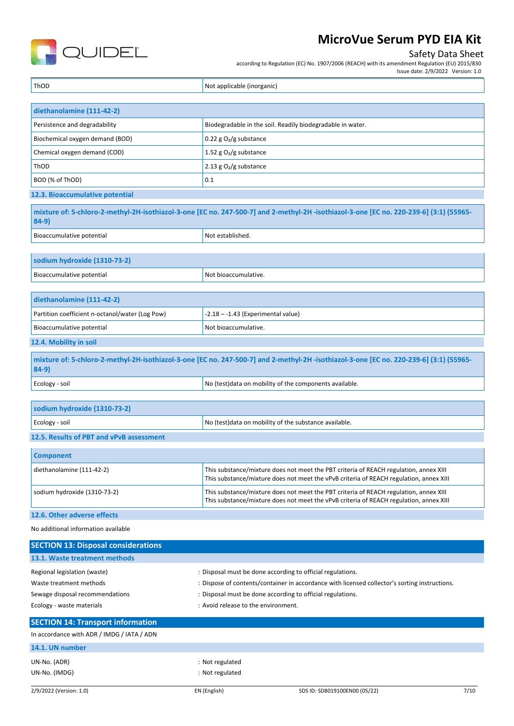

## Safety Data Sheet

according to Regulation (EC) No. 1907/2006 (REACH) with its amendment Regulation (EU) 2015/830

Issue date: 2/9/2022 Version: 1.0

ThOD **Not applicable (inorganic)** Not applicable (inorganic)

| diethanolamine (111-42-2)                                                                   |                          |  |
|---------------------------------------------------------------------------------------------|--------------------------|--|
| Persistence and degradability<br>Biodegradable in the soil. Readily biodegradable in water. |                          |  |
| Biochemical oxygen demand (BOD)                                                             | 0.22 g $O_2/g$ substance |  |
| Chemical oxygen demand (COD)                                                                | 1.52 g $O_2/g$ substance |  |
| ThOD                                                                                        | 2.13 g $O2/g$ substance  |  |
| BOD (% of ThOD)                                                                             | 0.1                      |  |
| 12.3. Bioaccumulative potential                                                             |                          |  |

**mixture of: 5-chloro-2-methyl-2H-isothiazol-3-one [EC no. 247-500-7] and 2-methyl-2H -isothiazol-3-one [EC no. 220-239-6] (3:1) (55965- 84-9)**  $\vert$  Bioaccumulative potential  $\vert$  Not established.

|                              | . . <b>. . .</b> |
|------------------------------|------------------|
|                              |                  |
|                              |                  |
| sodium hydroxide (1310-73-2) |                  |

| diethanolamine (111-42-2)                                                                                                                         |                      |  |
|---------------------------------------------------------------------------------------------------------------------------------------------------|----------------------|--|
| Partition coefficient n-octanol/water (Log Pow)<br>$-2.18 - -1.43$ (Experimental value)                                                           |                      |  |
| Bioaccumulative potential                                                                                                                         | Not bioaccumulative. |  |
| 12.4. Mobility in soil                                                                                                                            |                      |  |
| mixture of: 5-chloro-2-methyl-2H-isothiazol-3-one [EC no. 247-500-7] and 2-methyl-2H-isothiazol-3-one [EC no. 220-239-6] (3:1) (55965-<br>$84-9)$ |                      |  |
| No (test) data on mobility of the components available.<br>Ecology - soil                                                                         |                      |  |

| sodium hydroxide (1310-73-2)                                             |  |  |
|--------------------------------------------------------------------------|--|--|
| No (test) data on mobility of the substance available.<br>Ecology - soil |  |  |
| 12.5. Results of PBT and vPvB assessment                                 |  |  |
| <b>Component</b>                                                         |  |  |

| diethanolamine (111-42-2)     | This substance/mixture does not meet the PBT criteria of REACH regulation, annex XIII<br>This substance/mixture does not meet the vPvB criteria of REACH regulation, annex XIII |
|-------------------------------|---------------------------------------------------------------------------------------------------------------------------------------------------------------------------------|
| sodium hydroxide (1310-73-2)  | This substance/mixture does not meet the PBT criteria of REACH regulation, annex XIII<br>This substance/mixture does not meet the vPvB criteria of REACH regulation, annex XIII |
| 13 C. Othor odicional othogic |                                                                                                                                                                                 |

## **12.6. Other adverse effects**

No additional information available

| <b>SECTION 13: Disposal considerations</b> |                                                                                               |
|--------------------------------------------|-----------------------------------------------------------------------------------------------|
| 13.1. Waste treatment methods              |                                                                                               |
| Regional legislation (waste)               | : Disposal must be done according to official regulations.                                    |
| Waste treatment methods                    | : Dispose of contents/container in accordance with licensed collector's sorting instructions. |
| Sewage disposal recommendations            | : Disposal must be done according to official regulations.                                    |
| Ecology - waste materials                  | : Avoid release to the environment.                                                           |
| <b>SECTION 14: Transport information</b>   |                                                                                               |
|                                            |                                                                                               |

#### In accordance with ADR / IMDG / IATA / ADN

|  | 14.1. UN number |
|--|-----------------|

UN-No. (ADR) : Not regulated UN-No. (IMDG) : Not regulated

Bioaccumulative potential Not bioaccumulative.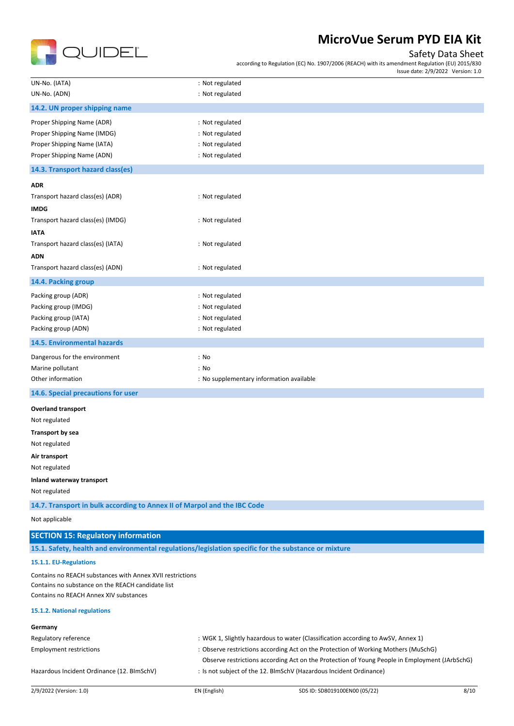

## Safety Data Sheet

Issue date: 2/9/2022 Version: 1.0

according to Regulation (EC) No. 1907/2006 (REACH) with its amendment Regulation (EU) 2015/830

| UN-No. (IATA)                                                            | : Not regulated                          |  |
|--------------------------------------------------------------------------|------------------------------------------|--|
| UN-No. (ADN)                                                             | : Not regulated                          |  |
| 14.2. UN proper shipping name                                            |                                          |  |
| Proper Shipping Name (ADR)                                               | : Not regulated                          |  |
| Proper Shipping Name (IMDG)                                              | : Not regulated                          |  |
| Proper Shipping Name (IATA)                                              | : Not regulated                          |  |
| Proper Shipping Name (ADN)                                               | : Not regulated                          |  |
| 14.3. Transport hazard class(es)                                         |                                          |  |
| <b>ADR</b>                                                               |                                          |  |
| Transport hazard class(es) (ADR)                                         | : Not regulated                          |  |
| <b>IMDG</b>                                                              |                                          |  |
| Transport hazard class(es) (IMDG)                                        | : Not regulated                          |  |
| <b>IATA</b>                                                              |                                          |  |
| Transport hazard class(es) (IATA)                                        | : Not regulated                          |  |
| <b>ADN</b>                                                               |                                          |  |
| Transport hazard class(es) (ADN)                                         | : Not regulated                          |  |
| 14.4. Packing group                                                      |                                          |  |
| Packing group (ADR)                                                      | : Not regulated                          |  |
| Packing group (IMDG)                                                     | : Not regulated                          |  |
| Packing group (IATA)                                                     | : Not regulated                          |  |
| Packing group (ADN)                                                      | : Not regulated                          |  |
| 14.5. Environmental hazards                                              |                                          |  |
| Dangerous for the environment                                            | : No                                     |  |
| Marine pollutant                                                         | : No                                     |  |
| Other information                                                        | : No supplementary information available |  |
| 14.6. Special precautions for user                                       |                                          |  |
| <b>Overland transport</b>                                                |                                          |  |
| Not regulated                                                            |                                          |  |
| Transport by sea                                                         |                                          |  |
| Not regulated                                                            |                                          |  |
| Air transport                                                            |                                          |  |
| Not regulated                                                            |                                          |  |
| Inland waterway transport                                                |                                          |  |
| Not regulated                                                            |                                          |  |
| 14.7. Transport in bulk according to Annex II of Marpol and the IBC Code |                                          |  |
| Not applicable                                                           |                                          |  |
| <b>SECTION 15: Regulatory information</b>                                |                                          |  |

**15.1. Safety, health and environmental regulations/legislation specific for the substance or mixture**

#### **15.1.1. EU-Regulations**

Contains no REACH substances with Annex XVII restrictions Contains no substance on the REACH candidate list Contains no REACH Annex XIV substances

## **15.1.2. National regulations**

| Germany                                    |                                                                    |                                                                                               |      |
|--------------------------------------------|--------------------------------------------------------------------|-----------------------------------------------------------------------------------------------|------|
| Regulatory reference                       |                                                                    | : WGK 1, Slightly hazardous to water (Classification according to AwSV, Annex 1)              |      |
| <b>Employment restrictions</b>             |                                                                    | : Observe restrictions according Act on the Protection of Working Mothers (MuSchG)            |      |
|                                            |                                                                    | Observe restrictions according Act on the Protection of Young People in Employment (JArbSchG) |      |
| Hazardous Incident Ordinance (12. BImSchV) | : Is not subject of the 12. BlmSchV (Hazardous Incident Ordinance) |                                                                                               |      |
|                                            |                                                                    |                                                                                               |      |
| 2/9/2022 (Version: 1.0)                    | EN (English)                                                       | SDS ID: SD8019100EN00 (05/22)                                                                 | 8/10 |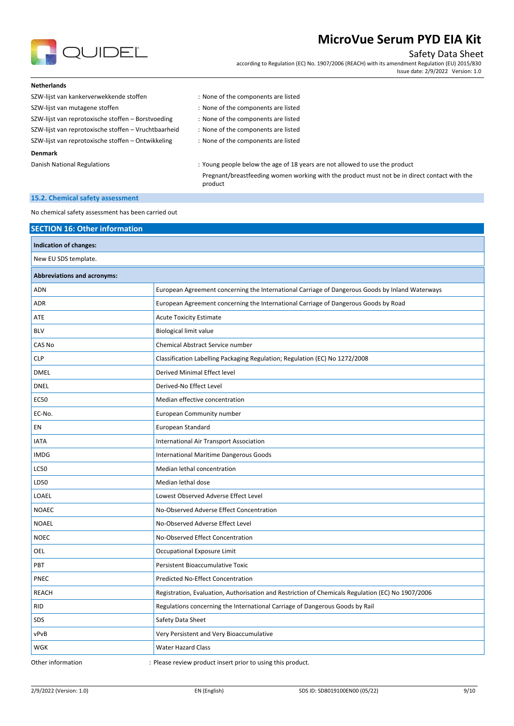

## Safety Data Sheet

according to Regulation (EC) No. 1907/2006 (REACH) with its amendment Regulation (EU) 2015/830 Issue date: 2/9/2022 Version: 1.0

#### **Netherlands**

SZW-lijst van kankerverwekkende stoffen : None of the components are listed SZW-lijst van mutagene stoffen issues in the source of the components are listed SZW-lijst van reprotoxische stoffen – Borstvoeding : None of the components are listed SZW-lijst van reprotoxische stoffen – Vruchtbaarheid : None of the components are listed

SZW-lijst van reprotoxische stoffen – Ontwikkeling : None of the components are listed

#### **Denmark**

Danish National Regulations : Young people below the age of 18 years are not allowed to use the product Pregnant/breastfeeding women working with the product must not be in direct contact with the product

#### **15.2. Chemical safety assessment**

No chemical safety assessment has been carried out

|                                    | <b>SECTION 16: Other information</b>                                                              |  |  |
|------------------------------------|---------------------------------------------------------------------------------------------------|--|--|
| Indication of changes:             |                                                                                                   |  |  |
| New EU SDS template.               |                                                                                                   |  |  |
| <b>Abbreviations and acronyms:</b> |                                                                                                   |  |  |
| <b>ADN</b>                         | European Agreement concerning the International Carriage of Dangerous Goods by Inland Waterways   |  |  |
| <b>ADR</b>                         | European Agreement concerning the International Carriage of Dangerous Goods by Road               |  |  |
| ATE                                | <b>Acute Toxicity Estimate</b>                                                                    |  |  |
| <b>BLV</b>                         | <b>Biological limit value</b>                                                                     |  |  |
| CAS No                             | Chemical Abstract Service number                                                                  |  |  |
| <b>CLP</b>                         | Classification Labelling Packaging Regulation; Regulation (EC) No 1272/2008                       |  |  |
| <b>DMEL</b>                        | Derived Minimal Effect level                                                                      |  |  |
| <b>DNEL</b>                        | Derived-No Effect Level                                                                           |  |  |
| <b>EC50</b>                        | Median effective concentration                                                                    |  |  |
| EC-No.                             | European Community number                                                                         |  |  |
| EN                                 | European Standard                                                                                 |  |  |
| <b>IATA</b>                        | International Air Transport Association                                                           |  |  |
| <b>IMDG</b>                        | International Maritime Dangerous Goods                                                            |  |  |
| <b>LC50</b>                        | Median lethal concentration                                                                       |  |  |
| LD50                               | Median lethal dose                                                                                |  |  |
| LOAEL                              | Lowest Observed Adverse Effect Level                                                              |  |  |
| <b>NOAEC</b>                       | No-Observed Adverse Effect Concentration                                                          |  |  |
| <b>NOAEL</b>                       | No-Observed Adverse Effect Level                                                                  |  |  |
| <b>NOEC</b>                        | No-Observed Effect Concentration                                                                  |  |  |
| OEL                                | Occupational Exposure Limit                                                                       |  |  |
| PBT                                | Persistent Bioaccumulative Toxic                                                                  |  |  |
| PNEC                               | Predicted No-Effect Concentration                                                                 |  |  |
| <b>REACH</b>                       | Registration, Evaluation, Authorisation and Restriction of Chemicals Regulation (EC) No 1907/2006 |  |  |
| <b>RID</b>                         | Regulations concerning the International Carriage of Dangerous Goods by Rail                      |  |  |
| SDS                                | Safety Data Sheet                                                                                 |  |  |
| vPvB                               | Very Persistent and Very Bioaccumulative                                                          |  |  |
| WGK                                | <b>Water Hazard Class</b>                                                                         |  |  |
| Other information                  | : Please review product insert prior to using this product.                                       |  |  |